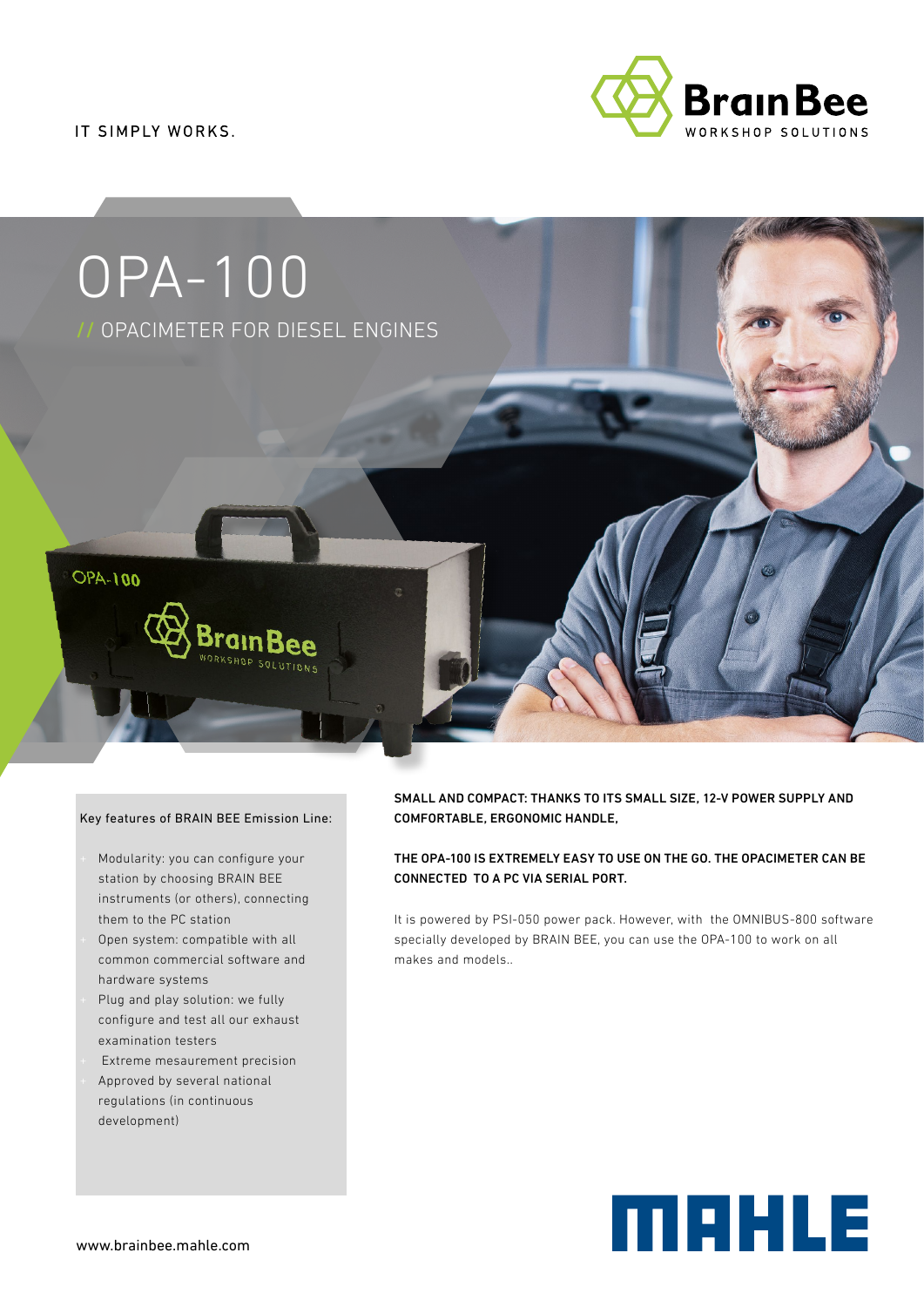IT SIMPLY WORKS.





#### Key features of BRAIN BEE Emission Line:

- Modularity: you can configure your station by choosing BRAIN BEE instruments (or others), connecting them to the PC station
- Open system: compatible with all common commercial software and hardware systems
- Plug and play solution: we fully configure and test all our exhaust examination testers
- Extreme mesaurement precision
- Approved by several national regulations (in continuous development)

## SMALL AND COMPACT: THANKS TO ITS SMALL SIZE, 12-V POWER SUPPLY AND COMFORTABLE, ERGONOMIC HANDLE,

## THE OPA-100 IS EXTREMELY EASY TO USE ON THE GO. THE OPACIMETER CAN BE CONNECTED TO A PC VIA SERIAL PORT.

It is powered by PSI-050 power pack. However, with the OMNIBUS-800 software specially developed by BRAIN BEE, you can use the OPA-100 to work on all makes and models..